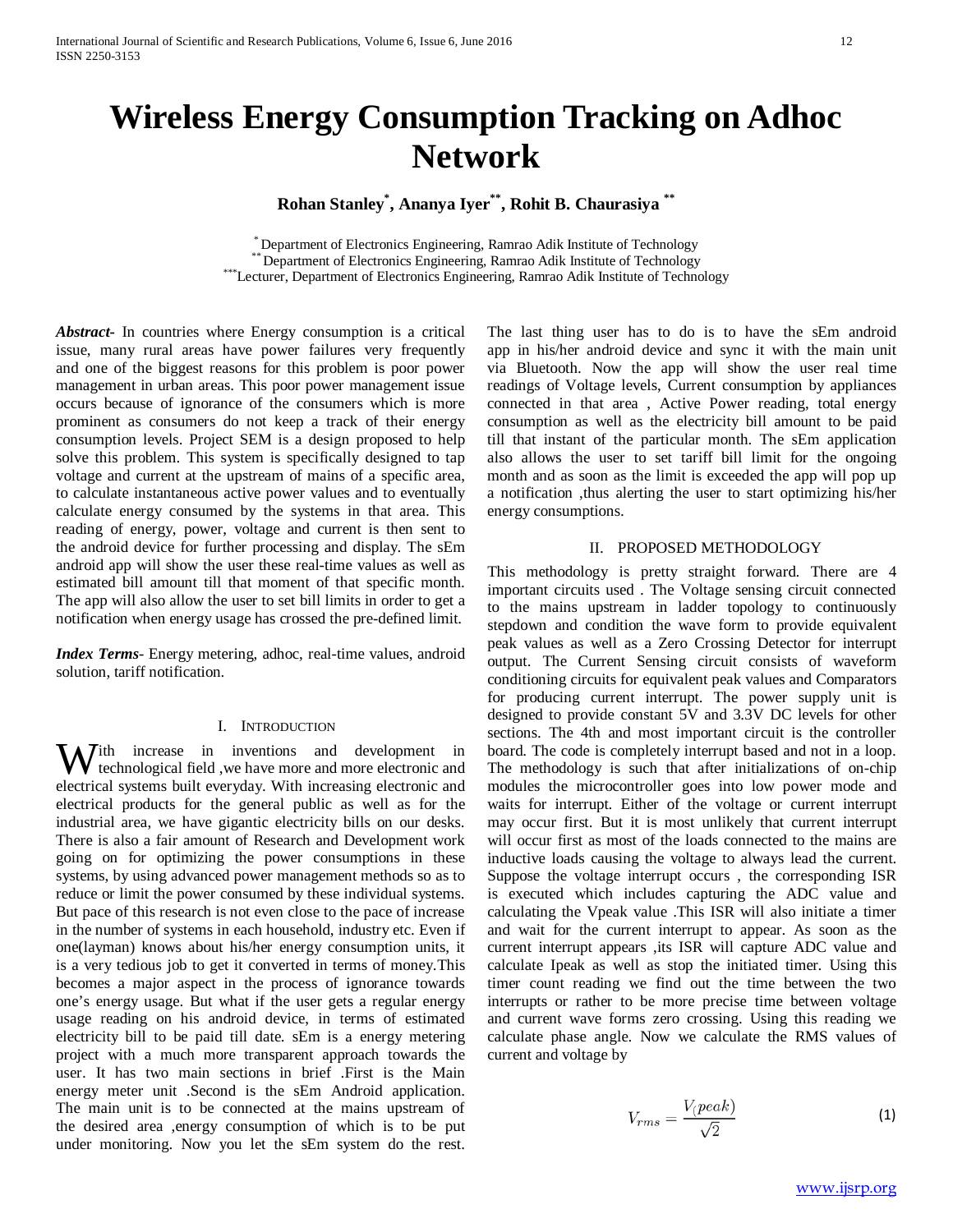# **Wireless Energy Consumption Tracking on Adhoc Network**

**Rohan Stanley\* , Ananya Iyer\*\*, Rohit B. Chaurasiya \*\***

\* Department of Electronics Engineering, Ramrao Adik Institute of Technology<br>\*\*\* Department of Electronics Engineering, Ramrao Adik Institute of Technology<br>\*\*\*Lecturer, Department of Electronics Engineering, Ramrao Adik In

*Abstract***-** In countries where Energy consumption is a critical issue, many rural areas have power failures very frequently and one of the biggest reasons for this problem is poor power management in urban areas. This poor power management issue occurs because of ignorance of the consumers which is more prominent as consumers do not keep a track of their energy consumption levels. Project SEM is a design proposed to help solve this problem. This system is specifically designed to tap voltage and current at the upstream of mains of a specific area, to calculate instantaneous active power values and to eventually calculate energy consumed by the systems in that area. This reading of energy, power, voltage and current is then sent to the android device for further processing and display. The sEm android app will show the user these real-time values as well as estimated bill amount till that moment of that specific month. The app will also allow the user to set bill limits in order to get a notification when energy usage has crossed the pre-defined limit.

*Index Terms*- Energy metering, adhoc, real-time values, android solution, tariff notification.

#### I. INTRODUCTION

With increase in inventions and development in<br>technological field , we have more and more electronic and technological field ,we have more and more electronic and electrical systems built everyday. With increasing electronic and electrical products for the general public as well as for the industrial area, we have gigantic electricity bills on our desks. There is also a fair amount of Research and Development work going on for optimizing the power consumptions in these systems, by using advanced power management methods so as to reduce or limit the power consumed by these individual systems. But pace of this research is not even close to the pace of increase in the number of systems in each household, industry etc. Even if one(layman) knows about his/her energy consumption units, it is a very tedious job to get it converted in terms of money.This becomes a major aspect in the process of ignorance towards one's energy usage. But what if the user gets a regular energy usage reading on his android device, in terms of estimated electricity bill to be paid till date. sEm is a energy metering project with a much more transparent approach towards the user. It has two main sections in brief .First is the Main energy meter unit .Second is the sEm Android application. The main unit is to be connected at the mains upstream of the desired area ,energy consumption of which is to be put under monitoring. Now you let the sEm system do the rest.

The last thing user has to do is to have the sEm android app in his/her android device and sync it with the main unit via Bluetooth. Now the app will show the user real time readings of Voltage levels, Current consumption by appliances connected in that area , Active Power reading, total energy consumption as well as the electricity bill amount to be paid till that instant of the particular month. The sEm application also allows the user to set tariff bill limit for the ongoing month and as soon as the limit is exceeded the app will pop up a notification ,thus alerting the user to start optimizing his/her energy consumptions.

# II. PROPOSED METHODOLOGY

This methodology is pretty straight forward. There are 4 important circuits used . The Voltage sensing circuit connected to the mains upstream in ladder topology to continuously stepdown and condition the wave form to provide equivalent peak values as well as a Zero Crossing Detector for interrupt output. The Current Sensing circuit consists of waveform conditioning circuits for equivalent peak values and Comparators for producing current interrupt. The power supply unit is designed to provide constant 5V and 3.3V DC levels for other sections. The 4th and most important circuit is the controller board. The code is completely interrupt based and not in a loop. The methodology is such that after initializations of on-chip modules the microcontroller goes into low power mode and waits for interrupt. Either of the voltage or current interrupt may occur first. But it is most unlikely that current interrupt will occur first as most of the loads connected to the mains are inductive loads causing the voltage to always lead the current. Suppose the voltage interrupt occurs , the corresponding ISR is executed which includes capturing the ADC value and calculating the Vpeak value .This ISR will also initiate a timer and wait for the current interrupt to appear. As soon as the current interrupt appears ,its ISR will capture ADC value and calculate Ipeak as well as stop the initiated timer. Using this timer count reading we find out the time between the two interrupts or rather to be more precise time between voltage and current wave forms zero crossing. Using this reading we calculate phase angle. Now we calculate the RMS values of current and voltage by

$$
V_{rms} = \frac{V(peak)}{\sqrt{2}}\tag{1}
$$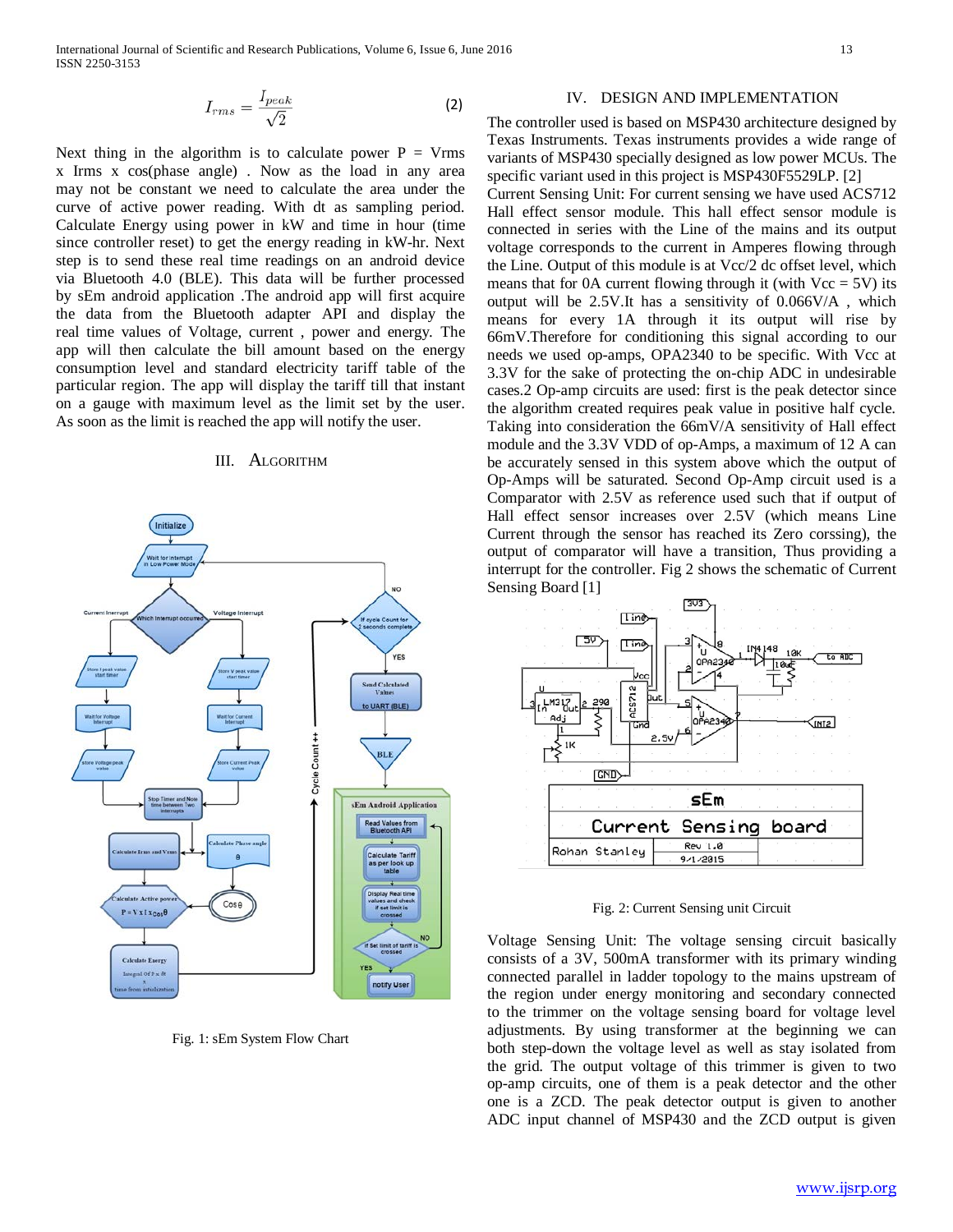Next thing in the algorithm is to calculate power  $P = Vrms$ x Irms x cos(phase angle) . Now as the load in any area may not be constant we need to calculate the area under the curve of active power reading. With dt as sampling period. Calculate Energy using power in kW and time in hour (time since controller reset) to get the energy reading in kW-hr. Next step is to send these real time readings on an android device via Bluetooth 4.0 (BLE). This data will be further processed by sEm android application .The android app will first acquire the data from the Bluetooth adapter API and display the real time values of Voltage, current , power and energy. The app will then calculate the bill amount based on the energy consumption level and standard electricity tariff table of the particular region. The app will display the tariff till that instant on a gauge with maximum level as the limit set by the user. As soon as the limit is reached the app will notify the user.

#### III. ALGORITHM



Fig. 1: sEm System Flow Chart

### IV. DESIGN AND IMPLEMENTATION

The controller used is based on MSP430 architecture designed by Texas Instruments. Texas instruments provides a wide range of variants of MSP430 specially designed as low power MCUs. The specific variant used in this project is MSP430F5529LP. [2]

Current Sensing Unit: For current sensing we have used ACS712 Hall effect sensor module. This hall effect sensor module is connected in series with the Line of the mains and its output voltage corresponds to the current in Amperes flowing through the Line. Output of this module is at Vcc/2 dc offset level, which means that for 0A current flowing through it (with  $Vec = 5V$ ) its output will be 2.5V.It has a sensitivity of 0.066V/A , which means for every 1A through it its output will rise by 66mV.Therefore for conditioning this signal according to our needs we used op-amps, OPA2340 to be specific. With Vcc at 3.3V for the sake of protecting the on-chip ADC in undesirable cases.2 Op-amp circuits are used: first is the peak detector since the algorithm created requires peak value in positive half cycle. Taking into consideration the 66mV/A sensitivity of Hall effect module and the 3.3V VDD of op-Amps, a maximum of 12 A can be accurately sensed in this system above which the output of Op-Amps will be saturated. Second Op-Amp circuit used is a Comparator with 2.5V as reference used such that if output of Hall effect sensor increases over 2.5V (which means Line Current through the sensor has reached its Zero corssing), the output of comparator will have a transition, Thus providing a interrupt for the controller. Fig 2 shows the schematic of Current Sensing Board [1]



Fig. 2: Current Sensing unit Circuit

Voltage Sensing Unit: The voltage sensing circuit basically consists of a 3V, 500mA transformer with its primary winding connected parallel in ladder topology to the mains upstream of the region under energy monitoring and secondary connected to the trimmer on the voltage sensing board for voltage level adjustments. By using transformer at the beginning we can both step-down the voltage level as well as stay isolated from the grid. The output voltage of this trimmer is given to two op-amp circuits, one of them is a peak detector and the other one is a ZCD. The peak detector output is given to another ADC input channel of MSP430 and the ZCD output is given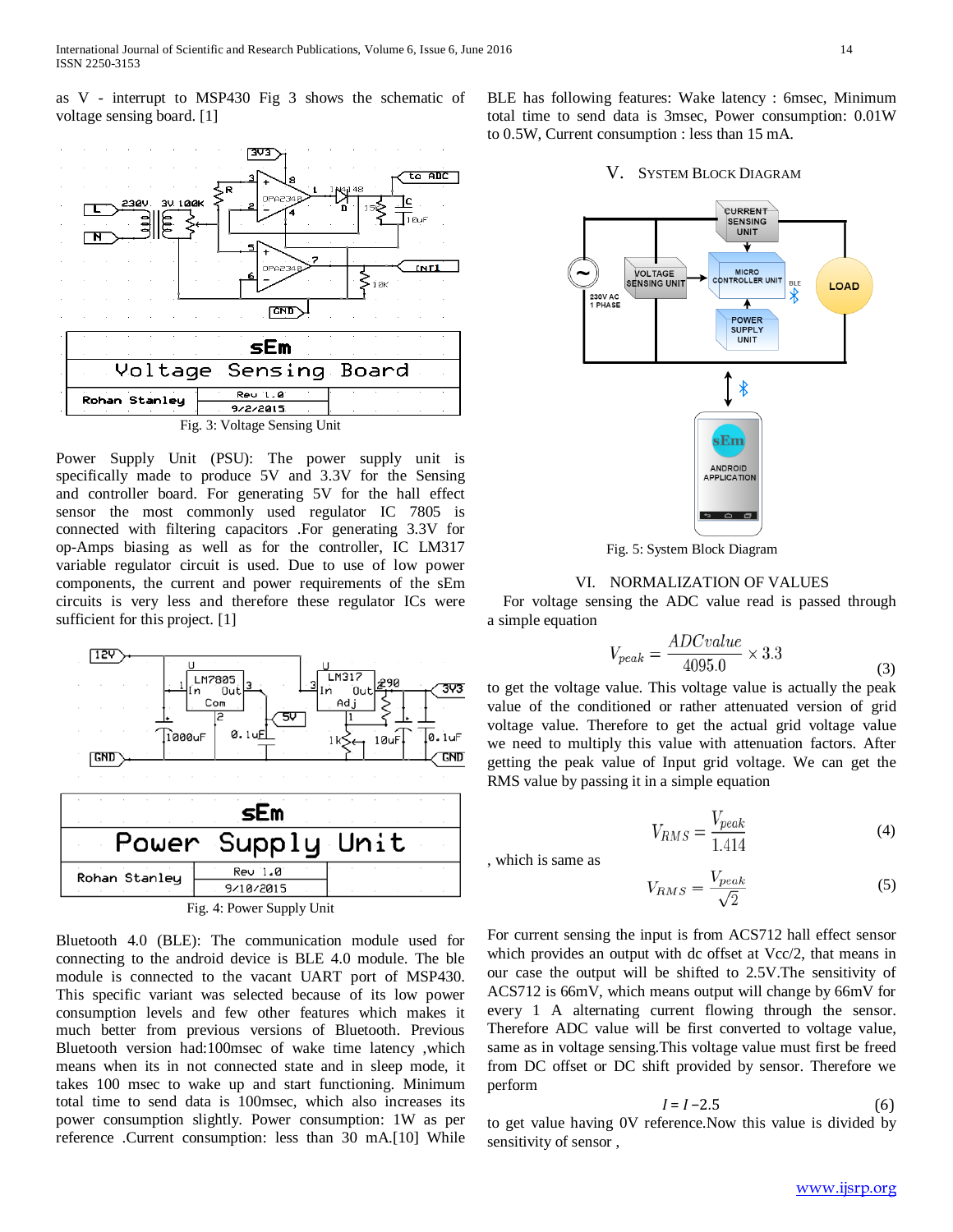as V - interrupt to MSP430 Fig 3 shows the schematic of voltage sensing board. [1]



Power Supply Unit (PSU): The power supply unit is specifically made to produce 5V and 3.3V for the Sensing and controller board. For generating 5V for the hall effect sensor the most commonly used regulator IC 7805 is connected with filtering capacitors .For generating 3.3V for op-Amps biasing as well as for the controller, IC LM317 variable regulator circuit is used. Due to use of low power components, the current and power requirements of the sEm circuits is very less and therefore these regulator ICs were sufficient for this project. [1]



Bluetooth 4.0 (BLE): The communication module used for connecting to the android device is BLE 4.0 module. The ble module is connected to the vacant UART port of MSP430. This specific variant was selected because of its low power consumption levels and few other features which makes it much better from previous versions of Bluetooth. Previous Bluetooth version had:100msec of wake time latency ,which means when its in not connected state and in sleep mode, it takes 100 msec to wake up and start functioning. Minimum total time to send data is 100msec, which also increases its power consumption slightly. Power consumption: 1W as per reference .Current consumption: less than 30 mA.[10] While BLE has following features: Wake latency : 6msec, Minimum total time to send data is 3msec, Power consumption: 0.01W to 0.5W, Current consumption : less than 15 mA.

# V. SYSTEM BLOCK DIAGRAM



Fig. 5: System Block Diagram

## VI. NORMALIZATION OF VALUES

For voltage sensing the ADC value read is passed through a simple equation

$$
V_{peak} = \frac{ADC value}{4095.0} \times 3.3
$$
\n(3)

to get the voltage value. This voltage value is actually the peak value of the conditioned or rather attenuated version of grid voltage value. Therefore to get the actual grid voltage value we need to multiply this value with attenuation factors. After getting the peak value of Input grid voltage. We can get the RMS value by passing it in a simple equation

$$
V_{RMS} = \frac{V_{peak}}{1.414}
$$
 (4)

, which is same as

$$
V_{RMS} = \frac{V_{peak}}{\sqrt{2}}\tag{5}
$$

For current sensing the input is from ACS712 hall effect sensor which provides an output with dc offset at Vcc/2, that means in our case the output will be shifted to 2.5V.The sensitivity of ACS712 is 66mV, which means output will change by 66mV for every 1 A alternating current flowing through the sensor. Therefore ADC value will be first converted to voltage value, same as in voltage sensing.This voltage value must first be freed from DC offset or DC shift provided by sensor. Therefore we perform

$$
I = I - 2.5\tag{6}
$$

to get value having 0V reference.Now this value is divided by sensitivity of sensor ,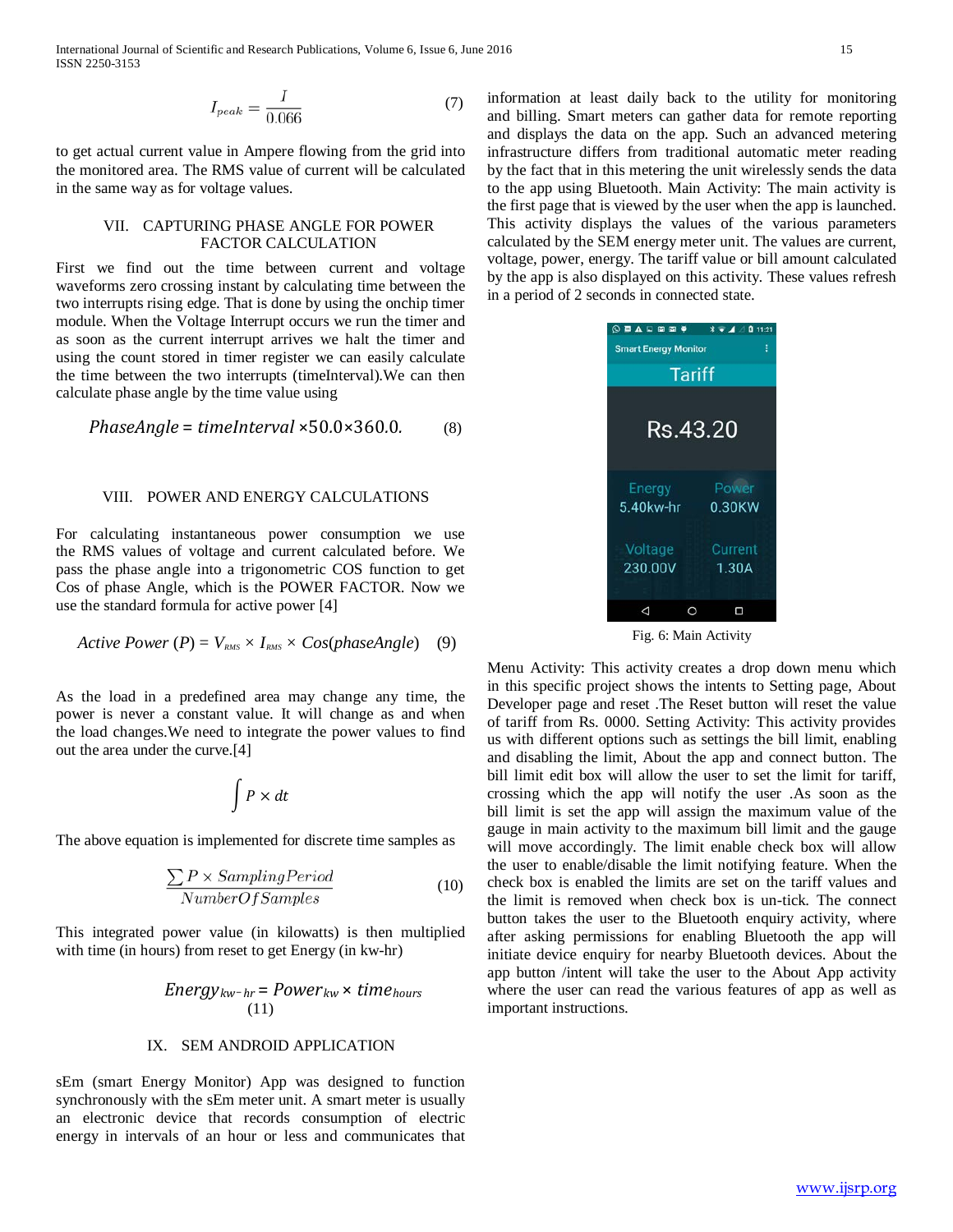International Journal of Scientific and Research Publications, Volume 6, Issue 6, June 2016 15 ISSN 2250-3153

$$
I_{peak} = \frac{I}{0.066} \tag{7}
$$

to get actual current value in Ampere flowing from the grid into the monitored area. The RMS value of current will be calculated in the same way as for voltage values.

### VII. CAPTURING PHASE ANGLE FOR POWER FACTOR CALCULATION

First we find out the time between current and voltage waveforms zero crossing instant by calculating time between the two interrupts rising edge. That is done by using the onchip timer module. When the Voltage Interrupt occurs we run the timer and as soon as the current interrupt arrives we halt the timer and using the count stored in timer register we can easily calculate the time between the two interrupts (timeInterval).We can then calculate phase angle by the time value using

$$
PhaseAngle = timeInterval \times 50.0 \times 360.0.
$$
 (8)

#### VIII. POWER AND ENERGY CALCULATIONS

For calculating instantaneous power consumption we use the RMS values of voltage and current calculated before. We pass the phase angle into a trigonometric COS function to get Cos of phase Angle, which is the POWER FACTOR. Now we use the standard formula for active power [4]

Active Power (P) = 
$$
V_{\text{RMS}} \times I_{\text{RMS}} \times Cos(phaseAngle)
$$
 (9)

As the load in a predefined area may change any time, the power is never a constant value. It will change as and when the load changes.We need to integrate the power values to find out the area under the curve.[4]

$$
\int P \times dt
$$

The above equation is implemented for discrete time samples as

$$
\frac{\sum P \times SamplingPeriod}{NumberOf Samples} \tag{10}
$$

This integrated power value (in kilowatts) is then multiplied with time (in hours) from reset to get Energy (in kw-hr)

 *Energykw*−*hr* = *Powerkw* × *timehours*  (11)

# IX. SEM ANDROID APPLICATION

sEm (smart Energy Monitor) App was designed to function synchronously with the sEm meter unit. A smart meter is usually an electronic device that records consumption of electric energy in intervals of an hour or less and communicates that

information at least daily back to the utility for monitoring and billing. Smart meters can gather data for remote reporting and displays the data on the app. Such an advanced metering infrastructure differs from traditional automatic meter reading by the fact that in this metering the unit wirelessly sends the data to the app using Bluetooth. Main Activity: The main activity is the first page that is viewed by the user when the app is launched. This activity displays the values of the various parameters calculated by the SEM energy meter unit. The values are current, voltage, power, energy. The tariff value or bill amount calculated by the app is also displayed on this activity. These values refresh in a period of 2 seconds in connected state.



Fig. 6: Main Activity

Menu Activity: This activity creates a drop down menu which in this specific project shows the intents to Setting page, About Developer page and reset .The Reset button will reset the value of tariff from Rs. 0000. Setting Activity: This activity provides us with different options such as settings the bill limit, enabling and disabling the limit, About the app and connect button. The bill limit edit box will allow the user to set the limit for tariff, crossing which the app will notify the user .As soon as the bill limit is set the app will assign the maximum value of the gauge in main activity to the maximum bill limit and the gauge will move accordingly. The limit enable check box will allow the user to enable/disable the limit notifying feature. When the check box is enabled the limits are set on the tariff values and the limit is removed when check box is un-tick. The connect button takes the user to the Bluetooth enquiry activity, where after asking permissions for enabling Bluetooth the app will initiate device enquiry for nearby Bluetooth devices. About the app button /intent will take the user to the About App activity where the user can read the various features of app as well as important instructions.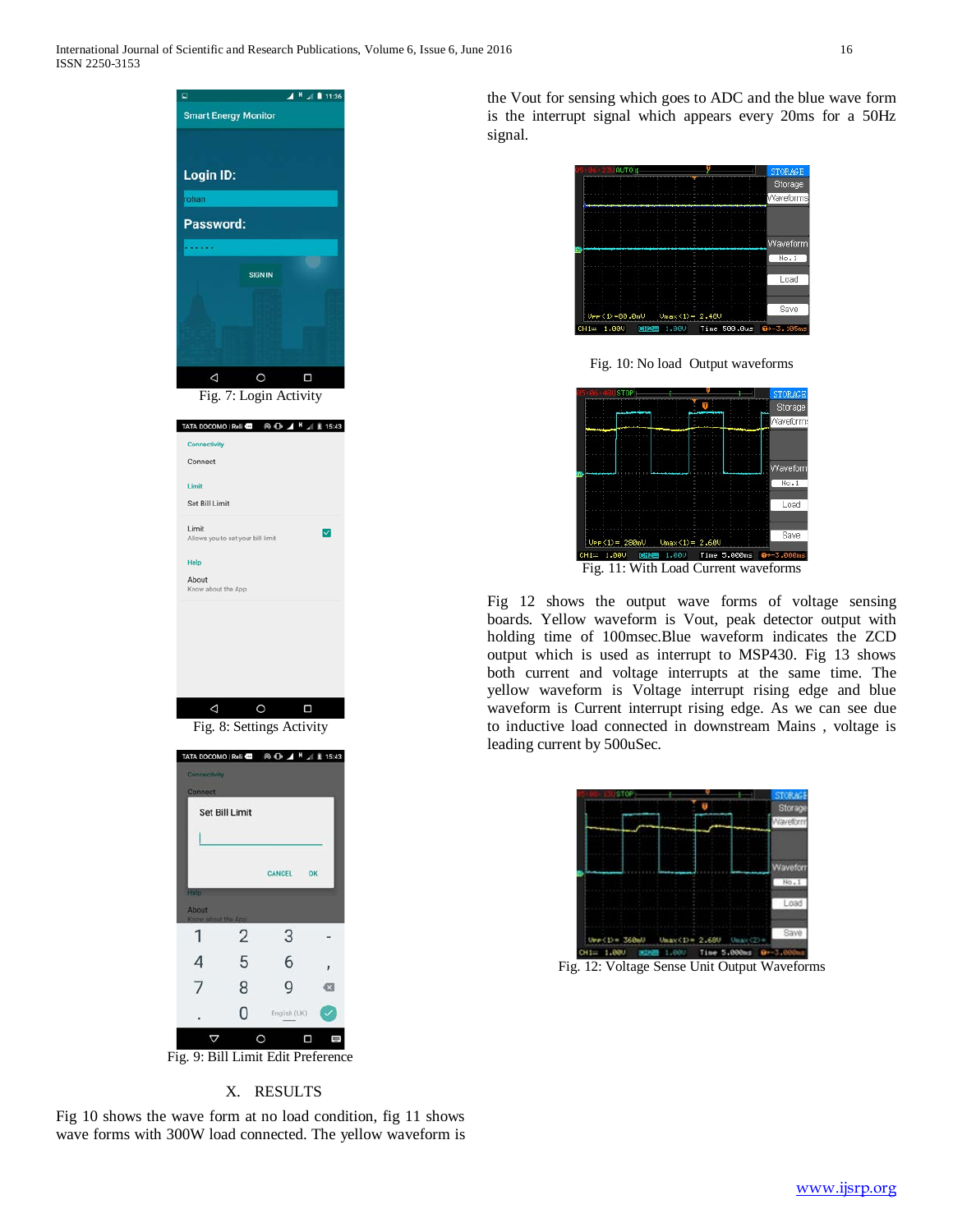

Fig 10 shows the wave form at no load condition, fig 11 shows wave forms with 300W load connected. The yellow waveform is the Vout for sensing which goes to ADC and the blue wave form is the interrupt signal which appears every 20ms for a 50Hz signal.



Fig. 10: No load Output waveforms



Fig. 11: With Load Current waveforms

Fig 12 shows the output wave forms of voltage sensing boards. Yellow waveform is Vout, peak detector output with holding time of 100msec.Blue waveform indicates the ZCD output which is used as interrupt to MSP430. Fig 13 shows both current and voltage interrupts at the same time. The yellow waveform is Voltage interrupt rising edge and blue waveform is Current interrupt rising edge. As we can see due to inductive load connected in downstream Mains , voltage is leading current by 500uSec.



Fig. 12: Voltage Sense Unit Output Waveforms